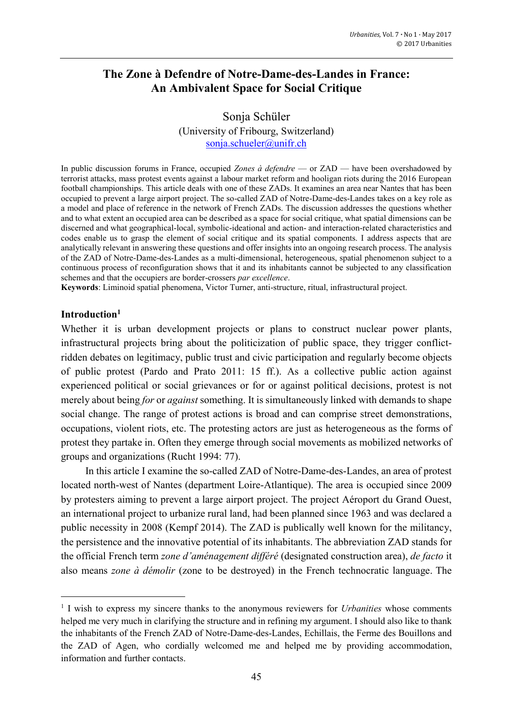# **The Zone à Defendre of Notre-Dame-des-Landes in France: An Ambivalent Space for Social Critique**

Sonja Schüler (University of Fribourg, Switzerland) [sonja.schueler@unifr.ch](mailto:sonja.schueler@unifr.ch)

In public discussion forums in France, occupied *Zones à defendre* — or ZAD — have been overshadowed by terrorist attacks, mass protest events against a labour market reform and hooligan riots during the 2016 European football championships. This article deals with one of these ZADs. It examines an area near Nantes that has been occupied to prevent a large airport project. The so-called ZAD of Notre-Dame-des-Landes takes on a key role as a model and place of reference in the network of French ZADs. The discussion addresses the questions whether and to what extent an occupied area can be described as a space for social critique, what spatial dimensions can be discerned and what geographical-local, symbolic-ideational and action- and interaction-related characteristics and codes enable us to grasp the element of social critique and its spatial components. I address aspects that are analytically relevant in answering these questions and offer insights into an ongoing research process. The analysis of the ZAD of Notre-Dame-des-Landes as a multi-dimensional, heterogeneous, spatial phenomenon subject to a continuous process of reconfiguration shows that it and its inhabitants cannot be subjected to any classification schemes and that the occupiers are border-crossers *par excellence*.

**Keywords**: Liminoid spatial phenomena, Victor Turner, anti-structure, ritual, infrastructural project.

#### **Introduction<sup>1</sup>**

**.** 

Whether it is urban development projects or plans to construct nuclear power plants, infrastructural projects bring about the politicization of public space, they trigger conflictridden debates on legitimacy, public trust and civic participation and regularly become objects of public protest (Pardo and Prato 2011: 15 ff.). As a collective public action against experienced political or social grievances or for or against political decisions, protest is not merely about being *for* or *against* something. It is simultaneously linked with demands to shape social change. The range of protest actions is broad and can comprise street demonstrations, occupations, violent riots, etc. The protesting actors are just as heterogeneous as the forms of protest they partake in. Often they emerge through social movements as mobilized networks of groups and organizations (Rucht 1994: 77).

In this article I examine the so-called ZAD of Notre-Dame-des-Landes, an area of protest located north-west of Nantes (department Loire-Atlantique). The area is occupied since 2009 by protesters aiming to prevent a large airport project. The project Aéroport du Grand Ouest, an international project to urbanize rural land, had been planned since 1963 and was declared a public necessity in 2008 (Kempf 2014). The ZAD is publically well known for the militancy, the persistence and the innovative potential of its inhabitants. The abbreviation ZAD stands for the official French term *zone d'aménagement différé* (designated construction area), *de facto* it also means *zone à démolir* (zone to be destroyed) in the French technocratic language. The

<sup>&</sup>lt;sup>1</sup> I wish to express my sincere thanks to the anonymous reviewers for *Urbanities* whose comments helped me very much in clarifying the structure and in refining my argument. I should also like to thank the inhabitants of the French ZAD of Notre-Dame-des-Landes, Echillais, the Ferme des Bouillons and the ZAD of Agen, who cordially welcomed me and helped me by providing accommodation, information and further contacts.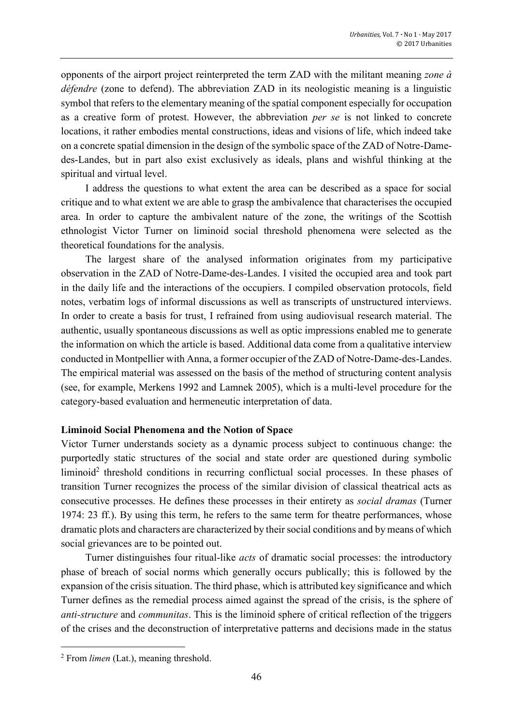opponents of the airport project reinterpreted the term ZAD with the militant meaning *zone à défendre* (zone to defend). The abbreviation ZAD in its neologistic meaning is a linguistic symbol that refers to the elementary meaning of the spatial component especially for occupation as a creative form of protest. However, the abbreviation *per se* is not linked to concrete locations, it rather embodies mental constructions, ideas and visions of life, which indeed take on a concrete spatial dimension in the design of the symbolic space of the ZAD of Notre-Damedes-Landes, but in part also exist exclusively as ideals, plans and wishful thinking at the spiritual and virtual level.

I address the questions to what extent the area can be described as a space for social critique and to what extent we are able to grasp the ambivalence that characterises the occupied area. In order to capture the ambivalent nature of the zone, the writings of the Scottish ethnologist Victor Turner on liminoid social threshold phenomena were selected as the theoretical foundations for the analysis.

The largest share of the analysed information originates from my participative observation in the ZAD of Notre-Dame-des-Landes. I visited the occupied area and took part in the daily life and the interactions of the occupiers. I compiled observation protocols, field notes, verbatim logs of informal discussions as well as transcripts of unstructured interviews. In order to create a basis for trust, I refrained from using audiovisual research material. The authentic, usually spontaneous discussions as well as optic impressions enabled me to generate the information on which the article is based. Additional data come from a qualitative interview conducted in Montpellier with Anna, a former occupier of the ZAD of Notre-Dame-des-Landes. The empirical material was assessed on the basis of the method of structuring content analysis (see, for example, Merkens 1992 and Lamnek 2005), which is a multi-level procedure for the category-based evaluation and hermeneutic interpretation of data.

## **Liminoid Social Phenomena and the Notion of Space**

Victor Turner understands society as a dynamic process subject to continuous change: the purportedly static structures of the social and state order are questioned during symbolic liminoid<sup>2</sup> threshold conditions in recurring conflictual social processes. In these phases of transition Turner recognizes the process of the similar division of classical theatrical acts as consecutive processes. He defines these processes in their entirety as *social dramas* (Turner 1974: 23 ff.). By using this term, he refers to the same term for theatre performances, whose dramatic plots and characters are characterized by their social conditions and by means of which social grievances are to be pointed out.

Turner distinguishes four ritual-like *acts* of dramatic social processes: the introductory phase of breach of social norms which generally occurs publically; this is followed by the expansion of the crisis situation. The third phase, which is attributed key significance and which Turner defines as the remedial process aimed against the spread of the crisis, is the sphere of *anti-structure* and *communitas*. This is the liminoid sphere of critical reflection of the triggers of the crises and the deconstruction of interpretative patterns and decisions made in the status

<sup>2</sup> From *limen* (Lat.), meaning threshold.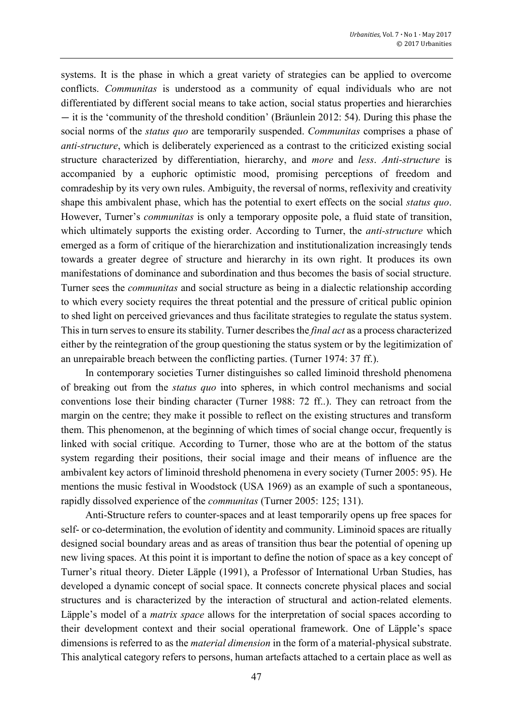systems. It is the phase in which a great variety of strategies can be applied to overcome conflicts. *Communitas* is understood as a community of equal individuals who are not differentiated by different social means to take action, social status properties and hierarchies — it is the 'community of the threshold condition' (Bräunlein 2012: 54). During this phase the social norms of the *status quo* are temporarily suspended. *Communitas* comprises a phase of *anti-structure*, which is deliberately experienced as a contrast to the criticized existing social structure characterized by differentiation, hierarchy, and *more* and *less*. *Anti-structure* is accompanied by a euphoric optimistic mood, promising perceptions of freedom and comradeship by its very own rules. Ambiguity, the reversal of norms, reflexivity and creativity shape this ambivalent phase, which has the potential to exert effects on the social *status quo*. However, Turner's *communitas* is only a temporary opposite pole, a fluid state of transition, which ultimately supports the existing order. According to Turner, the *anti-structure* which emerged as a form of critique of the hierarchization and institutionalization increasingly tends towards a greater degree of structure and hierarchy in its own right. It produces its own manifestations of dominance and subordination and thus becomes the basis of social structure. Turner sees the *communitas* and social structure as being in a dialectic relationship according to which every society requires the threat potential and the pressure of critical public opinion to shed light on perceived grievances and thus facilitate strategies to regulate the status system. This in turn serves to ensure its stability. Turner describes the *final act* as a process characterized either by the reintegration of the group questioning the status system or by the legitimization of an unrepairable breach between the conflicting parties. (Turner 1974: 37 ff.).

In contemporary societies Turner distinguishes so called liminoid threshold phenomena of breaking out from the *status quo* into spheres, in which control mechanisms and social conventions lose their binding character (Turner 1988: 72 ff..). They can retroact from the margin on the centre; they make it possible to reflect on the existing structures and transform them. This phenomenon, at the beginning of which times of social change occur, frequently is linked with social critique. According to Turner, those who are at the bottom of the status system regarding their positions, their social image and their means of influence are the ambivalent key actors of liminoid threshold phenomena in every society (Turner 2005: 95). He mentions the music festival in Woodstock (USA 1969) as an example of such a spontaneous, rapidly dissolved experience of the *communitas* (Turner 2005: 125; 131).

Anti-Structure refers to counter-spaces and at least temporarily opens up free spaces for self- or co-determination, the evolution of identity and community. Liminoid spaces are ritually designed social boundary areas and as areas of transition thus bear the potential of opening up new living spaces. At this point it is important to define the notion of space as a key concept of Turner's ritual theory. Dieter Läpple (1991), a Professor of International Urban Studies, has developed a dynamic concept of social space. It connects concrete physical places and social structures and is characterized by the interaction of structural and action-related elements. Läpple's model of a *matrix space* allows for the interpretation of social spaces according to their development context and their social operational framework. One of Läpple's space dimensions is referred to as the *material dimension* in the form of a material-physical substrate. This analytical category refers to persons, human artefacts attached to a certain place as well as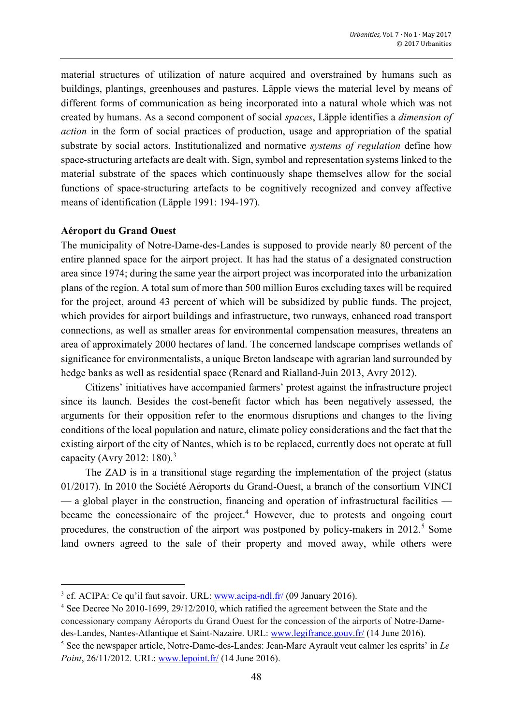material structures of utilization of nature acquired and overstrained by humans such as buildings, plantings, greenhouses and pastures. Läpple views the material level by means of different forms of communication as being incorporated into a natural whole which was not created by humans. As a second component of social *spaces*, Läpple identifies a *dimension of action* in the form of social practices of production, usage and appropriation of the spatial substrate by social actors. Institutionalized and normative *systems of regulation* define how space-structuring artefacts are dealt with. Sign, symbol and representation systems linked to the material substrate of the spaces which continuously shape themselves allow for the social functions of space-structuring artefacts to be cognitively recognized and convey affective means of identification (Läpple 1991: 194-197).

#### **Aéroport du Grand Ouest**

 $\overline{a}$ 

The municipality of Notre-Dame-des-Landes is supposed to provide nearly 80 percent of the entire planned space for the airport project. It has had the status of a designated construction area since 1974; during the same year the airport project was incorporated into the urbanization plans of the region. A total sum of more than 500 million Euros excluding taxes will be required for the project, around 43 percent of which will be subsidized by public funds. The project, which provides for airport buildings and infrastructure, two runways, enhanced road transport connections, as well as smaller areas for environmental compensation measures, threatens an area of approximately 2000 hectares of land. The concerned landscape comprises wetlands of significance for environmentalists, a unique Breton landscape with agrarian land surrounded by hedge banks as well as residential space (Renard and Rialland-Juin 2013, Avry 2012).

Citizens' initiatives have accompanied farmers' protest against the infrastructure project since its launch. Besides the cost-benefit factor which has been negatively assessed, the arguments for their opposition refer to the enormous disruptions and changes to the living conditions of the local population and nature, climate policy considerations and the fact that the existing airport of the city of Nantes, which is to be replaced, currently does not operate at full capacity (Avry 2012: 180).<sup>3</sup>

The ZAD is in a transitional stage regarding the implementation of the project (status 01/2017). In 2010 the Société Aéroports du Grand-Ouest, a branch of the consortium VINCI — a global player in the construction, financing and operation of infrastructural facilities became the concessionaire of the project. <sup>4</sup> However, due to protests and ongoing court procedures, the construction of the airport was postponed by policy-makers in  $2012<sup>5</sup>$  Some land owners agreed to the sale of their property and moved away, while others were

<sup>&</sup>lt;sup>3</sup> cf. ACIPA: Ce qu'il faut savoir. URL: [www.acipa-ndl.fr/](http://www.acipa-ndl.fr/) (09 January 2016).

<sup>4</sup> See Decree No 2010-1699, 29/12/2010, which ratified the agreement between the State and the concessionary company Aéroports du Grand Ouest for the concession of the airports of Notre-Damedes-Landes, Nantes-Atlantique et Saint-Nazaire. URL: [www.legifrance.gouv.fr/](http://www.legifrance.gouv.fr/) (14 June 2016). <sup>5</sup> See the newspaper article, Notre-Dame-des-Landes: Jean-Marc Ayrault veut calmer les esprits' in *Le Point*, 26/11/2012. URL: [www.lepoint.fr/](http://www.lepoint.fr/%20(14.06.2016)) (14 June 2016).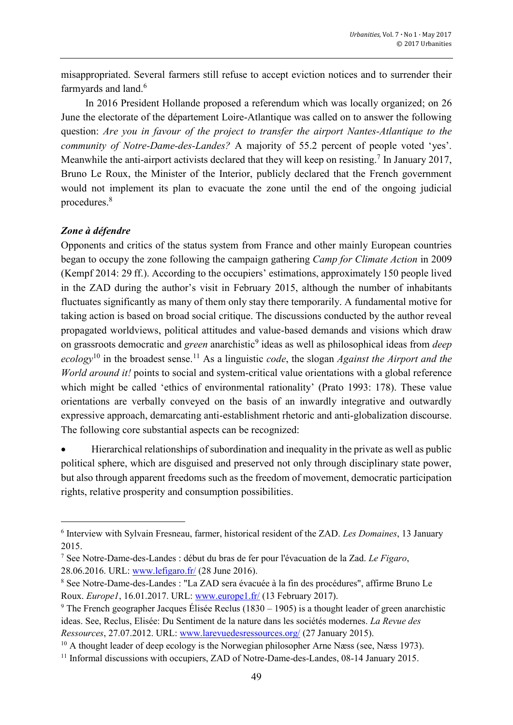misappropriated. Several farmers still refuse to accept eviction notices and to surrender their farmyards and land.<sup>6</sup>

In 2016 President Hollande proposed a referendum which was locally organized; on 26 June the electorate of the département Loire-Atlantique was called on to answer the following question: *Are you in favour of the project to transfer the airport Nantes-Atlantique to the community of Notre-Dame-des-Landes?* A majority of 55.2 percent of people voted 'yes'. Meanwhile the anti-airport activists declared that they will keep on resisting.<sup>7</sup> In January 2017, Bruno Le Roux, the Minister of the Interior, publicly declared that the French government would not implement its plan to evacuate the zone until the end of the ongoing judicial procedures.<sup>8</sup>

## *Zone à défendre*

**.** 

Opponents and critics of the status system from France and other mainly European countries began to occupy the zone following the campaign gathering *Camp for Climate Action* in 2009 (Kempf 2014: 29 ff.). According to the occupiers' estimations, approximately 150 people lived in the ZAD during the author's visit in February 2015, although the number of inhabitants fluctuates significantly as many of them only stay there temporarily. A fundamental motive for taking action is based on broad social critique. The discussions conducted by the author reveal propagated worldviews, political attitudes and value-based demands and visions which draw on grassroots democratic and *green* anarchistic<sup>9</sup> ideas as well as philosophical ideas from *deep ecology*<sup>10</sup> in the broadest sense.<sup>11</sup> As a linguistic *code*, the slogan *Against the Airport and the World around it!* points to social and system-critical value orientations with a global reference which might be called 'ethics of environmental rationality' (Prato 1993: 178). These value orientations are verbally conveyed on the basis of an inwardly integrative and outwardly expressive approach, demarcating anti-establishment rhetoric and anti-globalization discourse. The following core substantial aspects can be recognized:

 Hierarchical relationships of subordination and inequality in the private as well as public political sphere, which are disguised and preserved not only through disciplinary state power, but also through apparent freedoms such as the freedom of movement, democratic participation rights, relative prosperity and consumption possibilities.

<sup>6</sup> Interview with Sylvain Fresneau, farmer, historical resident of the ZAD. *Les Domaines*, 13 January 2015.

<sup>7</sup> See Notre-Dame-des-Landes : début du bras de fer pour l'évacuation de la Zad. *Le Figaro*, 28.06.2016. URL: [www.lefigaro.fr/](http://www.lefigaro.fr/) (28 June 2016).

<sup>8</sup> See Notre-Dame-des-Landes : "La ZAD sera évacuée à la fin des procédures", affirme Bruno Le Roux. *Europe1*, 16.01.2017. URL: [www.europe1.fr/](http://www.europe1.fr/) (13 February 2017).

<sup>&</sup>lt;sup>9</sup> The French geographer Jacques Élisée Reclus (1830 – 1905) is a thought leader of green anarchistic ideas. See, Reclus, Elisée: Du Sentiment de la nature dans les sociétés modernes. *La Revue des Ressources*, 27.07.2012. URL: [www.larevuedesressources.org/](http://www.larevuedesressources.org/) (27 January 2015).

 $10$  A thought leader of deep ecology is the Norwegian philosopher Arne Næss (see, Næss 1973).

<sup>&</sup>lt;sup>11</sup> Informal discussions with occupiers, ZAD of Notre-Dame-des-Landes, 08-14 January 2015.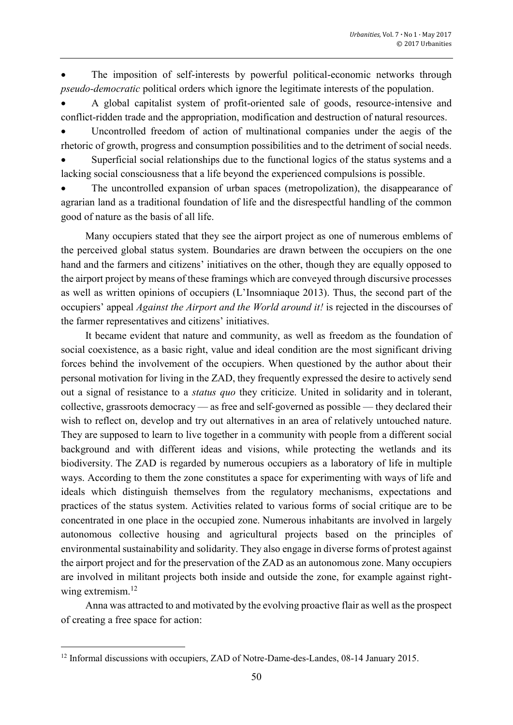The imposition of self-interests by powerful political-economic networks through *pseudo-democratic* political orders which ignore the legitimate interests of the population.

 A global capitalist system of profit-oriented sale of goods, resource-intensive and conflict-ridden trade and the appropriation, modification and destruction of natural resources.

 Uncontrolled freedom of action of multinational companies under the aegis of the rhetoric of growth, progress and consumption possibilities and to the detriment of social needs.

 Superficial social relationships due to the functional logics of the status systems and a lacking social consciousness that a life beyond the experienced compulsions is possible.

 The uncontrolled expansion of urban spaces (metropolization), the disappearance of agrarian land as a traditional foundation of life and the disrespectful handling of the common good of nature as the basis of all life.

Many occupiers stated that they see the airport project as one of numerous emblems of the perceived global status system. Boundaries are drawn between the occupiers on the one hand and the farmers and citizens' initiatives on the other, though they are equally opposed to the airport project by means of these framings which are conveyed through discursive processes as well as written opinions of occupiers (L'Insomniaque 2013). Thus, the second part of the occupiers' appeal *Against the Airport and the World around it!* is rejected in the discourses of the farmer representatives and citizens' initiatives.

It became evident that nature and community, as well as freedom as the foundation of social coexistence, as a basic right, value and ideal condition are the most significant driving forces behind the involvement of the occupiers. When questioned by the author about their personal motivation for living in the ZAD, they frequently expressed the desire to actively send out a signal of resistance to a *status quo* they criticize. United in solidarity and in tolerant, collective, grassroots democracy — as free and self-governed as possible — they declared their wish to reflect on, develop and try out alternatives in an area of relatively untouched nature. They are supposed to learn to live together in a community with people from a different social background and with different ideas and visions, while protecting the wetlands and its biodiversity. The ZAD is regarded by numerous occupiers as a laboratory of life in multiple ways. According to them the zone constitutes a space for experimenting with ways of life and ideals which distinguish themselves from the regulatory mechanisms, expectations and practices of the status system. Activities related to various forms of social critique are to be concentrated in one place in the occupied zone. Numerous inhabitants are involved in largely autonomous collective housing and agricultural projects based on the principles of environmental sustainability and solidarity. They also engage in diverse forms of protest against the airport project and for the preservation of the ZAD as an autonomous zone. Many occupiers are involved in militant projects both inside and outside the zone, for example against rightwing extremism.<sup>12</sup>

Anna was attracted to and motivated by the evolving proactive flair as well as the prospect of creating a free space for action:

<sup>&</sup>lt;sup>12</sup> Informal discussions with occupiers, ZAD of Notre-Dame-des-Landes, 08-14 January 2015.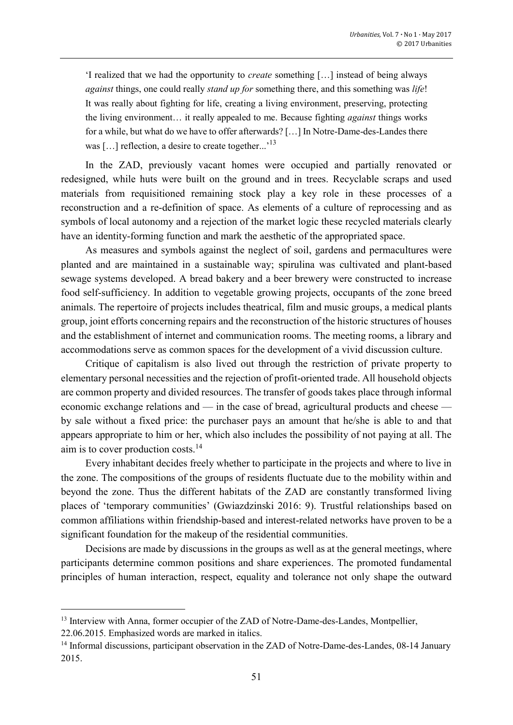'I realized that we had the opportunity to *create* something […] instead of being always *against* things, one could really *stand up for* something there, and this something was *life*! It was really about fighting for life, creating a living environment, preserving, protecting the living environment… it really appealed to me. Because fighting *against* things works for a while, but what do we have to offer afterwards? […] In Notre-Dame-des-Landes there was [...] reflection, a desire to create together...'<sup>13</sup>

In the ZAD, previously vacant homes were occupied and partially renovated or redesigned, while huts were built on the ground and in trees. Recyclable scraps and used materials from requisitioned remaining stock play a key role in these processes of a reconstruction and a re-definition of space. As elements of a culture of reprocessing and as symbols of local autonomy and a rejection of the market logic these recycled materials clearly have an identity-forming function and mark the aesthetic of the appropriated space.

As measures and symbols against the neglect of soil, gardens and permacultures were planted and are maintained in a sustainable way; spirulina was cultivated and plant-based sewage systems developed. A bread bakery and a beer brewery were constructed to increase food self-sufficiency. In addition to vegetable growing projects, occupants of the zone breed animals. The repertoire of projects includes theatrical, film and music groups, a medical plants group, joint efforts concerning repairs and the reconstruction of the historic structures of houses and the establishment of internet and communication rooms. The meeting rooms, a library and accommodations serve as common spaces for the development of a vivid discussion culture.

Critique of capitalism is also lived out through the restriction of private property to elementary personal necessities and the rejection of profit-oriented trade. All household objects are common property and divided resources. The transfer of goods takes place through informal economic exchange relations and — in the case of bread, agricultural products and cheese by sale without a fixed price: the purchaser pays an amount that he/she is able to and that appears appropriate to him or her, which also includes the possibility of not paying at all. The aim is to cover production costs.<sup>14</sup>

Every inhabitant decides freely whether to participate in the projects and where to live in the zone. The compositions of the groups of residents fluctuate due to the mobility within and beyond the zone. Thus the different habitats of the ZAD are constantly transformed living places of 'temporary communities' (Gwiazdzinski 2016: 9). Trustful relationships based on common affiliations within friendship-based and interest-related networks have proven to be a significant foundation for the makeup of the residential communities.

Decisions are made by discussions in the groups as well as at the general meetings, where participants determine common positions and share experiences. The promoted fundamental principles of human interaction, respect, equality and tolerance not only shape the outward

<sup>&</sup>lt;sup>13</sup> Interview with Anna, former occupier of the ZAD of Notre-Dame-des-Landes, Montpellier, 22.06.2015. Emphasized words are marked in italics.

<sup>&</sup>lt;sup>14</sup> Informal discussions, participant observation in the ZAD of Notre-Dame-des-Landes, 08-14 January 2015.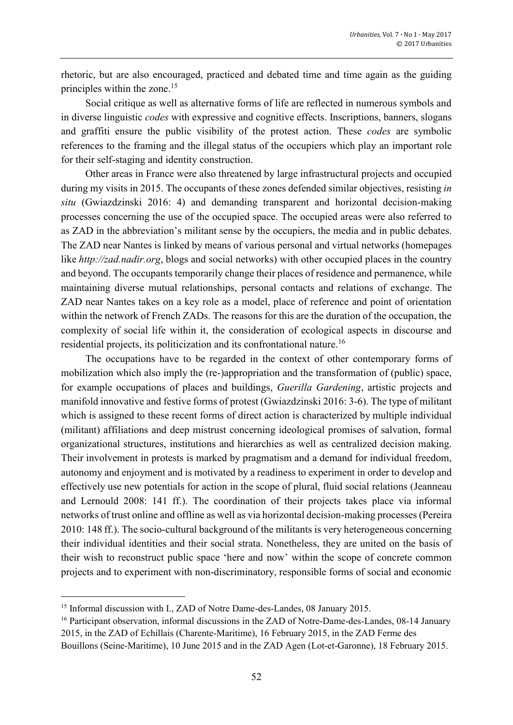rhetoric, but are also encouraged, practiced and debated time and time again as the guiding principles within the zone. 15

Social critique as well as alternative forms of life are reflected in numerous symbols and in diverse linguistic *codes* with expressive and cognitive effects. Inscriptions, banners, slogans and graffiti ensure the public visibility of the protest action. These *codes* are symbolic references to the framing and the illegal status of the occupiers which play an important role for their self-staging and identity construction.

Other areas in France were also threatened by large infrastructural projects and occupied during my visits in 2015. The occupants of these zones defended similar objectives, resisting *in situ* (Gwiazdzinski 2016: 4) and demanding transparent and horizontal decision-making processes concerning the use of the occupied space. The occupied areas were also referred to as ZAD in the abbreviation's militant sense by the occupiers, the media and in public debates. The ZAD near Nantes is linked by means of various personal and virtual networks (homepages like *http://zad.nadir.org*, blogs and social networks) with other occupied places in the country and beyond. The occupants temporarily change their places of residence and permanence, while maintaining diverse mutual relationships, personal contacts and relations of exchange. The ZAD near Nantes takes on a key role as a model, place of reference and point of orientation within the network of French ZADs. The reasons for this are the duration of the occupation, the complexity of social life within it, the consideration of ecological aspects in discourse and residential projects, its politicization and its confrontational nature.<sup>16</sup>

The occupations have to be regarded in the context of other contemporary forms of mobilization which also imply the (re-)appropriation and the transformation of (public) space, for example occupations of places and buildings, *Guerilla Gardening*, artistic projects and manifold innovative and festive forms of protest (Gwiazdzinski 2016: 3-6). The type of militant which is assigned to these recent forms of direct action is characterized by multiple individual (militant) affiliations and deep mistrust concerning ideological promises of salvation, formal organizational structures, institutions and hierarchies as well as centralized decision making. Their involvement in protests is marked by pragmatism and a demand for individual freedom, autonomy and enjoyment and is motivated by a readiness to experiment in order to develop and effectively use new potentials for action in the scope of plural, fluid social relations (Jeanneau and Lernould 2008: 141 ff.). The coordination of their projects takes place via informal networks of trust online and offline as well as via horizontal decision-making processes (Pereira 2010: 148 ff.). The socio-cultural background of the militants is very heterogeneous concerning their individual identities and their social strata. Nonetheless, they are united on the basis of their wish to reconstruct public space 'here and now' within the scope of concrete common projects and to experiment with non-discriminatory, responsible forms of social and economic

<sup>&</sup>lt;sup>15</sup> Informal discussion with I., ZAD of Notre Dame-des-Landes, 08 January 2015.

<sup>&</sup>lt;sup>16</sup> Participant observation, informal discussions in the ZAD of Notre-Dame-des-Landes, 08-14 January 2015, in the ZAD of Echillais (Charente-Maritime), 16 February 2015, in the ZAD Ferme des

Bouillons (Seine-Maritime), 10 June 2015 and in the ZAD Agen (Lot-et-Garonne), 18 February 2015.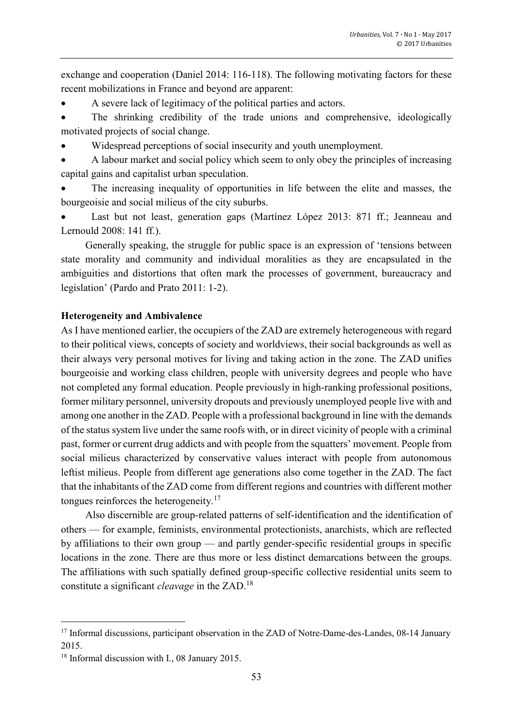exchange and cooperation (Daniel 2014: 116-118). The following motivating factors for these recent mobilizations in France and beyond are apparent:

- A severe lack of legitimacy of the political parties and actors.
- The shrinking credibility of the trade unions and comprehensive, ideologically motivated projects of social change.
- Widespread perceptions of social insecurity and youth unemployment.
- A labour market and social policy which seem to only obey the principles of increasing capital gains and capitalist urban speculation.
- The increasing inequality of opportunities in life between the elite and masses, the bourgeoisie and social milieus of the city suburbs.
- Last but not least, generation gaps (Martínez Lόpez 2013: 871 ff.; Jeanneau and Lernould 2008: 141 ff.).

Generally speaking, the struggle for public space is an expression of 'tensions between state morality and community and individual moralities as they are encapsulated in the ambiguities and distortions that often mark the processes of government, bureaucracy and legislation' (Pardo and Prato 2011: 1-2).

# **Heterogeneity and Ambivalence**

As I have mentioned earlier, the occupiers of the ZAD are extremely heterogeneous with regard to their political views, concepts of society and worldviews, their social backgrounds as well as their always very personal motives for living and taking action in the zone. The ZAD unifies bourgeoisie and working class children, people with university degrees and people who have not completed any formal education. People previously in high-ranking professional positions, former military personnel, university dropouts and previously unemployed people live with and among one another in the ZAD. People with a professional background in line with the demands of the status system live under the same roofs with, or in direct vicinity of people with a criminal past, former or current drug addicts and with people from the squatters' movement. People from social milieus characterized by conservative values interact with people from autonomous leftist milieus. People from different age generations also come together in the ZAD. The fact that the inhabitants of the ZAD come from different regions and countries with different mother tongues reinforces the heterogeneity.<sup>17</sup>

Also discernible are group-related patterns of self-identification and the identification of others — for example, feminists, environmental protectionists, anarchists, which are reflected by affiliations to their own group — and partly gender-specific residential groups in specific locations in the zone. There are thus more or less distinct demarcations between the groups. The affiliations with such spatially defined group-specific collective residential units seem to constitute a significant *cleavage* in the ZAD. 18

<sup>&</sup>lt;sup>17</sup> Informal discussions, participant observation in the ZAD of Notre-Dame-des-Landes, 08-14 January 2015.

<sup>18</sup> Informal discussion with I., 08 January 2015.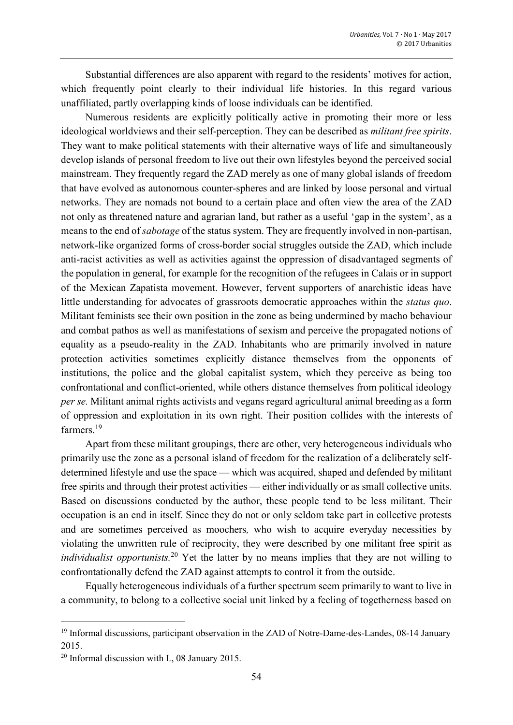Substantial differences are also apparent with regard to the residents' motives for action, which frequently point clearly to their individual life histories. In this regard various unaffiliated, partly overlapping kinds of loose individuals can be identified.

Numerous residents are explicitly politically active in promoting their more or less ideological worldviews and their self-perception. They can be described as *militant free spirits*. They want to make political statements with their alternative ways of life and simultaneously develop islands of personal freedom to live out their own lifestyles beyond the perceived social mainstream. They frequently regard the ZAD merely as one of many global islands of freedom that have evolved as autonomous counter-spheres and are linked by loose personal and virtual networks. They are nomads not bound to a certain place and often view the area of the ZAD not only as threatened nature and agrarian land, but rather as a useful 'gap in the system', as a means to the end of *sabotage* of the status system. They are frequently involved in non-partisan, network-like organized forms of cross-border social struggles outside the ZAD, which include anti-racist activities as well as activities against the oppression of disadvantaged segments of the population in general, for example for the recognition of the refugees in Calais or in support of the Mexican Zapatista movement. However, fervent supporters of anarchistic ideas have little understanding for advocates of grassroots democratic approaches within the *status quo*. Militant feminists see their own position in the zone as being undermined by macho behaviour and combat pathos as well as manifestations of sexism and perceive the propagated notions of equality as a pseudo-reality in the ZAD. Inhabitants who are primarily involved in nature protection activities sometimes explicitly distance themselves from the opponents of institutions, the police and the global capitalist system, which they perceive as being too confrontational and conflict-oriented, while others distance themselves from political ideology *per se.* Militant animal rights activists and vegans regard agricultural animal breeding as a form of oppression and exploitation in its own right. Their position collides with the interests of farmers.<sup>19</sup>

Apart from these militant groupings, there are other, very heterogeneous individuals who primarily use the zone as a personal island of freedom for the realization of a deliberately selfdetermined lifestyle and use the space — which was acquired, shaped and defended by militant free spirits and through their protest activities — either individually or as small collective units. Based on discussions conducted by the author, these people tend to be less militant. Their occupation is an end in itself. Since they do not or only seldom take part in collective protests and are sometimes perceived as moochers*,* who wish to acquire everyday necessities by violating the unwritten rule of reciprocity, they were described by one militant free spirit as *individualist opportunists.*<sup>20</sup> Yet the latter by no means implies that they are not willing to confrontationally defend the ZAD against attempts to control it from the outside.

Equally heterogeneous individuals of a further spectrum seem primarily to want to live in a community, to belong to a collective social unit linked by a feeling of togetherness based on

<sup>&</sup>lt;sup>19</sup> Informal discussions, participant observation in the ZAD of Notre-Dame-des-Landes, 08-14 January 2015.

<sup>20</sup> Informal discussion with I., 08 January 2015.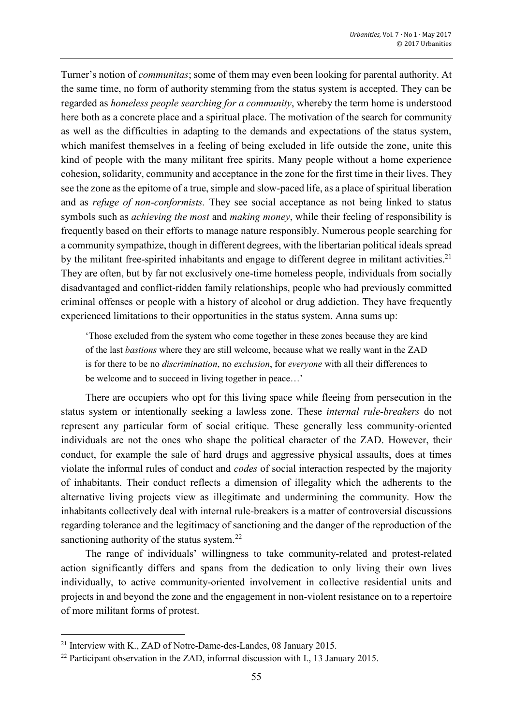Turner's notion of *communitas*; some of them may even been looking for parental authority. At the same time, no form of authority stemming from the status system is accepted. They can be regarded as *homeless people searching for a community*, whereby the term home is understood here both as a concrete place and a spiritual place. The motivation of the search for community as well as the difficulties in adapting to the demands and expectations of the status system, which manifest themselves in a feeling of being excluded in life outside the zone, unite this kind of people with the many militant free spirits. Many people without a home experience cohesion, solidarity, community and acceptance in the zone for the first time in their lives. They see the zone as the epitome of a true, simple and slow-paced life, as a place of spiritual liberation and as *refuge of non-conformists.* They see social acceptance as not being linked to status symbols such as *achieving the most* and *making money*, while their feeling of responsibility is frequently based on their efforts to manage nature responsibly. Numerous people searching for a community sympathize, though in different degrees, with the libertarian political ideals spread by the militant free-spirited inhabitants and engage to different degree in militant activities.<sup>21</sup> They are often, but by far not exclusively one-time homeless people, individuals from socially disadvantaged and conflict-ridden family relationships, people who had previously committed criminal offenses or people with a history of alcohol or drug addiction. They have frequently experienced limitations to their opportunities in the status system. Anna sums up:

'Those excluded from the system who come together in these zones because they are kind of the last *bastions* where they are still welcome, because what we really want in the ZAD is for there to be no *discrimination*, no *exclusion*, for *everyone* with all their differences to be welcome and to succeed in living together in peace…'

There are occupiers who opt for this living space while fleeing from persecution in the status system or intentionally seeking a lawless zone. These *internal rule-breakers* do not represent any particular form of social critique. These generally less community-oriented individuals are not the ones who shape the political character of the ZAD. However, their conduct, for example the sale of hard drugs and aggressive physical assaults, does at times violate the informal rules of conduct and *codes* of social interaction respected by the majority of inhabitants. Their conduct reflects a dimension of illegality which the adherents to the alternative living projects view as illegitimate and undermining the community. How the inhabitants collectively deal with internal rule-breakers is a matter of controversial discussions regarding tolerance and the legitimacy of sanctioning and the danger of the reproduction of the sanctioning authority of the status system.<sup>22</sup>

The range of individuals' willingness to take community-related and protest-related action significantly differs and spans from the dedication to only living their own lives individually, to active community-oriented involvement in collective residential units and projects in and beyond the zone and the engagement in non-violent resistance on to a repertoire of more militant forms of protest.

<sup>&</sup>lt;sup>21</sup> Interview with K., ZAD of Notre-Dame-des-Landes, 08 January 2015.

<sup>&</sup>lt;sup>22</sup> Participant observation in the ZAD, informal discussion with I., 13 January 2015.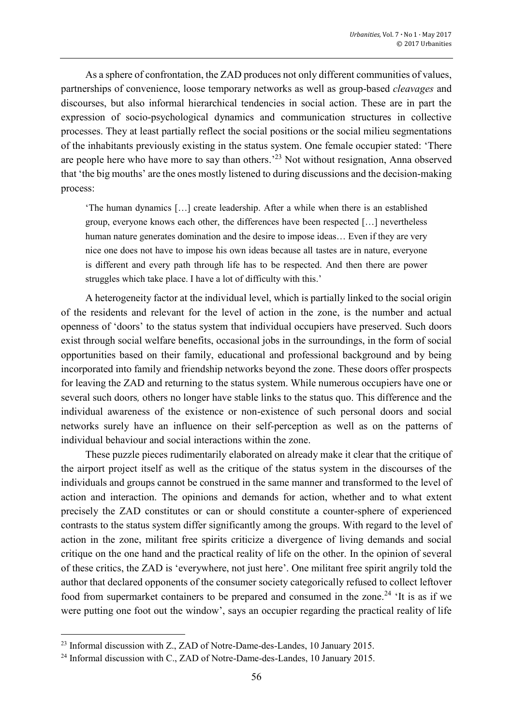As a sphere of confrontation, the ZAD produces not only different communities of values, partnerships of convenience, loose temporary networks as well as group-based *cleavages* and discourses, but also informal hierarchical tendencies in social action. These are in part the expression of socio-psychological dynamics and communication structures in collective processes. They at least partially reflect the social positions or the social milieu segmentations of the inhabitants previously existing in the status system. One female occupier stated: 'There are people here who have more to say than others.<sup>23</sup> Not without resignation, Anna observed that 'the big mouths' are the ones mostly listened to during discussions and the decision-making process:

'The human dynamics […] create leadership. After a while when there is an established group, everyone knows each other, the differences have been respected […] nevertheless human nature generates domination and the desire to impose ideas... Even if they are very nice one does not have to impose his own ideas because all tastes are in nature, everyone is different and every path through life has to be respected. And then there are power struggles which take place. I have a lot of difficulty with this.'

A heterogeneity factor at the individual level, which is partially linked to the social origin of the residents and relevant for the level of action in the zone, is the number and actual openness of 'doors' to the status system that individual occupiers have preserved. Such doors exist through social welfare benefits, occasional jobs in the surroundings, in the form of social opportunities based on their family, educational and professional background and by being incorporated into family and friendship networks beyond the zone. These doors offer prospects for leaving the ZAD and returning to the status system. While numerous occupiers have one or several such doors*,* others no longer have stable links to the status quo. This difference and the individual awareness of the existence or non-existence of such personal doors and social networks surely have an influence on their self-perception as well as on the patterns of individual behaviour and social interactions within the zone.

These puzzle pieces rudimentarily elaborated on already make it clear that the critique of the airport project itself as well as the critique of the status system in the discourses of the individuals and groups cannot be construed in the same manner and transformed to the level of action and interaction. The opinions and demands for action, whether and to what extent precisely the ZAD constitutes or can or should constitute a counter-sphere of experienced contrasts to the status system differ significantly among the groups. With regard to the level of action in the zone, militant free spirits criticize a divergence of living demands and social critique on the one hand and the practical reality of life on the other. In the opinion of several of these critics, the ZAD is 'everywhere, not just here'. One militant free spirit angrily told the author that declared opponents of the consumer society categorically refused to collect leftover food from supermarket containers to be prepared and consumed in the zone.<sup>24</sup> 'It is as if we were putting one foot out the window', says an occupier regarding the practical reality of life

 $^{23}$  Informal discussion with Z., ZAD of Notre-Dame-des-Landes, 10 January 2015.

<sup>&</sup>lt;sup>24</sup> Informal discussion with C., ZAD of Notre-Dame-des-Landes, 10 January 2015.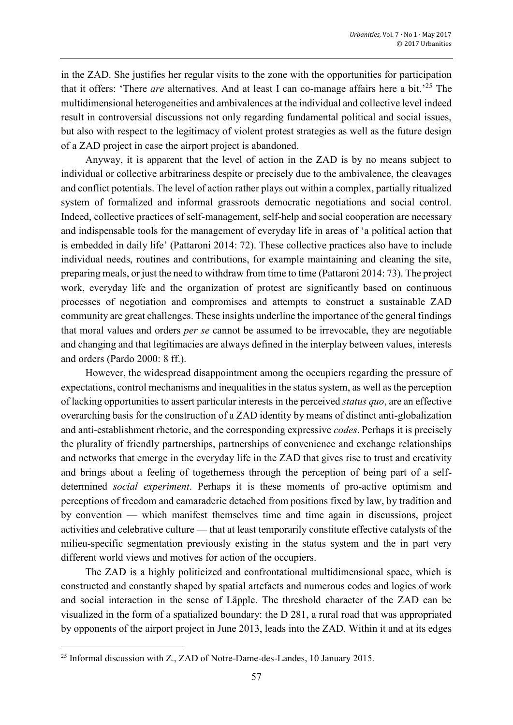in the ZAD. She justifies her regular visits to the zone with the opportunities for participation that it offers: 'There *are* alternatives. And at least I can co-manage affairs here a bit.' <sup>25</sup> The multidimensional heterogeneities and ambivalences at the individual and collective level indeed result in controversial discussions not only regarding fundamental political and social issues, but also with respect to the legitimacy of violent protest strategies as well as the future design of a ZAD project in case the airport project is abandoned.

Anyway, it is apparent that the level of action in the ZAD is by no means subject to individual or collective arbitrariness despite or precisely due to the ambivalence, the cleavages and conflict potentials. The level of action rather plays out within a complex, partially ritualized system of formalized and informal grassroots democratic negotiations and social control. Indeed, collective practices of self-management, self-help and social cooperation are necessary and indispensable tools for the management of everyday life in areas of 'a political action that is embedded in daily life' (Pattaroni 2014: 72). These collective practices also have to include individual needs, routines and contributions, for example maintaining and cleaning the site, preparing meals, or just the need to withdraw from time to time (Pattaroni 2014: 73). The project work, everyday life and the organization of protest are significantly based on continuous processes of negotiation and compromises and attempts to construct a sustainable ZAD community are great challenges. These insights underline the importance of the general findings that moral values and orders *per se* cannot be assumed to be irrevocable, they are negotiable and changing and that legitimacies are always defined in the interplay between values, interests and orders (Pardo 2000: 8 ff.).

However, the widespread disappointment among the occupiers regarding the pressure of expectations, control mechanisms and inequalities in the status system, as well as the perception of lacking opportunities to assert particular interests in the perceived *status quo*, are an effective overarching basis for the construction of a ZAD identity by means of distinct anti-globalization and anti-establishment rhetoric, and the corresponding expressive *codes*. Perhaps it is precisely the plurality of friendly partnerships, partnerships of convenience and exchange relationships and networks that emerge in the everyday life in the ZAD that gives rise to trust and creativity and brings about a feeling of togetherness through the perception of being part of a selfdetermined *social experiment*. Perhaps it is these moments of pro-active optimism and perceptions of freedom and camaraderie detached from positions fixed by law, by tradition and by convention — which manifest themselves time and time again in discussions, project activities and celebrative culture — that at least temporarily constitute effective catalysts of the milieu-specific segmentation previously existing in the status system and the in part very different world views and motives for action of the occupiers.

The ZAD is a highly politicized and confrontational multidimensional space, which is constructed and constantly shaped by spatial artefacts and numerous codes and logics of work and social interaction in the sense of Läpple. The threshold character of the ZAD can be visualized in the form of a spatialized boundary: the D 281, a rural road that was appropriated by opponents of the airport project in June 2013, leads into the ZAD. Within it and at its edges

<sup>&</sup>lt;sup>25</sup> Informal discussion with Z., ZAD of Notre-Dame-des-Landes, 10 January 2015.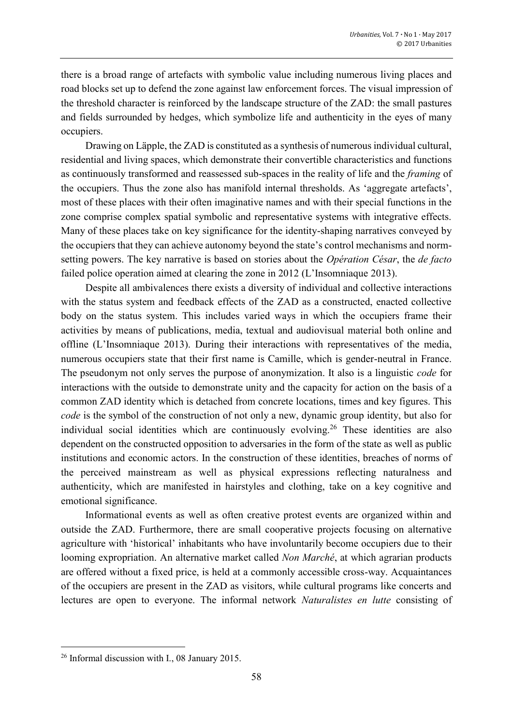there is a broad range of artefacts with symbolic value including numerous living places and road blocks set up to defend the zone against law enforcement forces. The visual impression of the threshold character is reinforced by the landscape structure of the ZAD: the small pastures and fields surrounded by hedges, which symbolize life and authenticity in the eyes of many occupiers.

Drawing on Läpple, the ZAD is constituted as a synthesis of numerous individual cultural, residential and living spaces, which demonstrate their convertible characteristics and functions as continuously transformed and reassessed sub-spaces in the reality of life and the *framing* of the occupiers. Thus the zone also has manifold internal thresholds. As 'aggregate artefacts', most of these places with their often imaginative names and with their special functions in the zone comprise complex spatial symbolic and representative systems with integrative effects. Many of these places take on key significance for the identity-shaping narratives conveyed by the occupiers that they can achieve autonomy beyond the state's control mechanisms and normsetting powers. The key narrative is based on stories about the *Opération César*, the *de facto* failed police operation aimed at clearing the zone in 2012 (L'Insomniaque 2013).

Despite all ambivalences there exists a diversity of individual and collective interactions with the status system and feedback effects of the ZAD as a constructed, enacted collective body on the status system. This includes varied ways in which the occupiers frame their activities by means of publications, media, textual and audiovisual material both online and offline (L'Insomniaque 2013). During their interactions with representatives of the media, numerous occupiers state that their first name is Camille, which is gender-neutral in France. The pseudonym not only serves the purpose of anonymization. It also is a linguistic *code* for interactions with the outside to demonstrate unity and the capacity for action on the basis of a common ZAD identity which is detached from concrete locations, times and key figures. This *code* is the symbol of the construction of not only a new, dynamic group identity, but also for individual social identities which are continuously evolving.<sup>26</sup> These identities are also dependent on the constructed opposition to adversaries in the form of the state as well as public institutions and economic actors. In the construction of these identities, breaches of norms of the perceived mainstream as well as physical expressions reflecting naturalness and authenticity, which are manifested in hairstyles and clothing, take on a key cognitive and emotional significance.

Informational events as well as often creative protest events are organized within and outside the ZAD. Furthermore, there are small cooperative projects focusing on alternative agriculture with 'historical' inhabitants who have involuntarily become occupiers due to their looming expropriation. An alternative market called *Non Marché*, at which agrarian products are offered without a fixed price, is held at a commonly accessible cross-way. Acquaintances of the occupiers are present in the ZAD as visitors, while cultural programs like concerts and lectures are open to everyone. The informal network *Naturalistes en lutte* consisting of

<sup>26</sup> Informal discussion with I., 08 January 2015.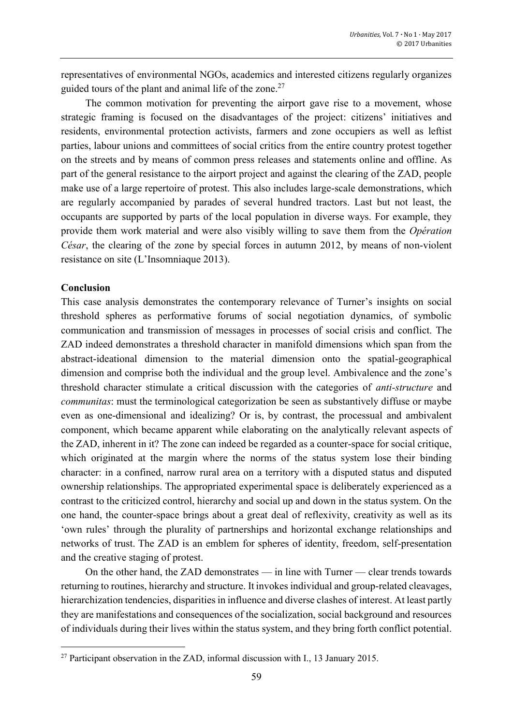representatives of environmental NGOs, academics and interested citizens regularly organizes guided tours of the plant and animal life of the zone.<sup>27</sup>

The common motivation for preventing the airport gave rise to a movement, whose strategic framing is focused on the disadvantages of the project: citizens' initiatives and residents, environmental protection activists, farmers and zone occupiers as well as leftist parties, labour unions and committees of social critics from the entire country protest together on the streets and by means of common press releases and statements online and offline. As part of the general resistance to the airport project and against the clearing of the ZAD, people make use of a large repertoire of protest. This also includes large-scale demonstrations, which are regularly accompanied by parades of several hundred tractors. Last but not least, the occupants are supported by parts of the local population in diverse ways. For example, they provide them work material and were also visibly willing to save them from the *Opération César*, the clearing of the zone by special forces in autumn 2012, by means of non-violent resistance on site (L'Insomniaque 2013).

#### **Conclusion**

**.** 

This case analysis demonstrates the contemporary relevance of Turner's insights on social threshold spheres as performative forums of social negotiation dynamics, of symbolic communication and transmission of messages in processes of social crisis and conflict. The ZAD indeed demonstrates a threshold character in manifold dimensions which span from the abstract-ideational dimension to the material dimension onto the spatial-geographical dimension and comprise both the individual and the group level. Ambivalence and the zone's threshold character stimulate a critical discussion with the categories of *anti-structure* and *communitas*: must the terminological categorization be seen as substantively diffuse or maybe even as one-dimensional and idealizing? Or is, by contrast, the processual and ambivalent component, which became apparent while elaborating on the analytically relevant aspects of the ZAD, inherent in it? The zone can indeed be regarded as a counter-space for social critique, which originated at the margin where the norms of the status system lose their binding character: in a confined, narrow rural area on a territory with a disputed status and disputed ownership relationships. The appropriated experimental space is deliberately experienced as a contrast to the criticized control, hierarchy and social up and down in the status system. On the one hand, the counter-space brings about a great deal of reflexivity, creativity as well as its 'own rules' through the plurality of partnerships and horizontal exchange relationships and networks of trust. The ZAD is an emblem for spheres of identity, freedom, self-presentation and the creative staging of protest.

On the other hand, the ZAD demonstrates — in line with Turner — clear trends towards returning to routines, hierarchy and structure. It invokes individual and group-related cleavages, hierarchization tendencies, disparities in influence and diverse clashes of interest. At least partly they are manifestations and consequences of the socialization, social background and resources of individuals during their lives within the status system, and they bring forth conflict potential.

<sup>27</sup> Participant observation in the ZAD, informal discussion with I., 13 January 2015.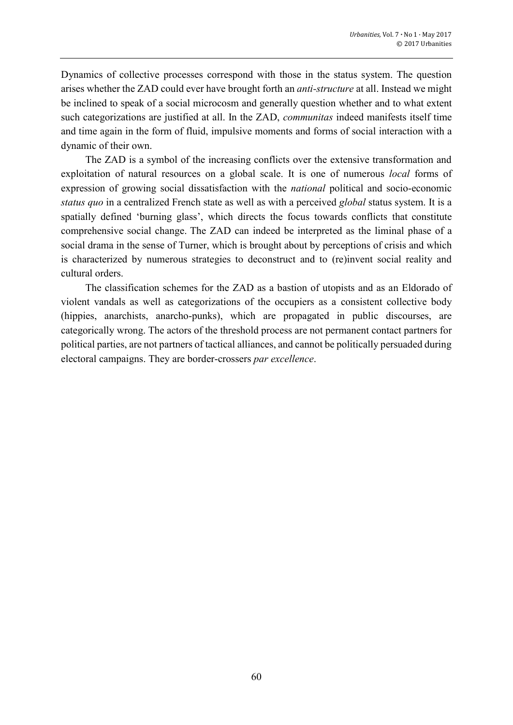Dynamics of collective processes correspond with those in the status system. The question arises whether the ZAD could ever have brought forth an *anti-structure* at all. Instead we might be inclined to speak of a social microcosm and generally question whether and to what extent such categorizations are justified at all. In the ZAD, *communitas* indeed manifests itself time and time again in the form of fluid, impulsive moments and forms of social interaction with a dynamic of their own.

The ZAD is a symbol of the increasing conflicts over the extensive transformation and exploitation of natural resources on a global scale. It is one of numerous *local* forms of expression of growing social dissatisfaction with the *national* political and socio-economic *status quo* in a centralized French state as well as with a perceived *global* status system. It is a spatially defined 'burning glass', which directs the focus towards conflicts that constitute comprehensive social change. The ZAD can indeed be interpreted as the liminal phase of a social drama in the sense of Turner, which is brought about by perceptions of crisis and which is characterized by numerous strategies to deconstruct and to (re)invent social reality and cultural orders.

The classification schemes for the ZAD as a bastion of utopists and as an Eldorado of violent vandals as well as categorizations of the occupiers as a consistent collective body (hippies, anarchists, anarcho-punks), which are propagated in public discourses, are categorically wrong. The actors of the threshold process are not permanent contact partners for political parties, are not partners of tactical alliances, and cannot be politically persuaded during electoral campaigns. They are border-crossers *par excellence*.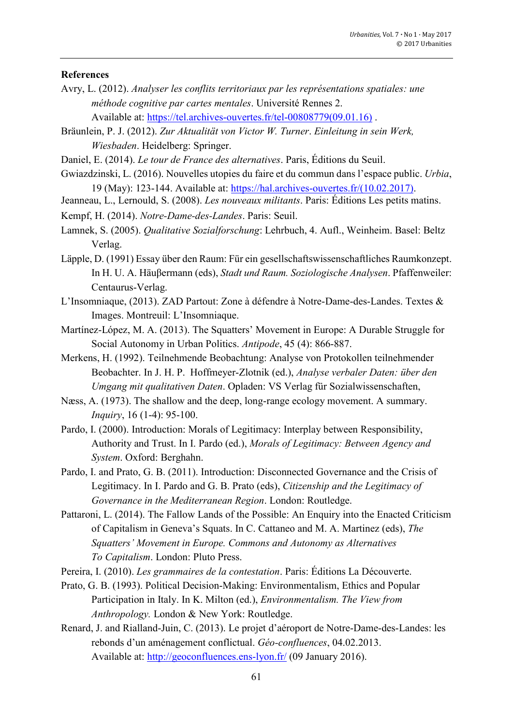## **References**

Avry, L. (2012). *Analyser les conflits territoriaux par les représentations spatiales: une méthode cognitive par cartes mentales*. Université Rennes 2.

Available at: [https://tel.archives-ouvertes.fr/tel-00808779\(09.01.16\)](https://tel.archives-ouvertes.fr/tel-00808779(09.01.16)) .

- Bräunlein, P. J. (2012). *Zur Aktualität von Victor W. Turner*. *Einleitung in sein Werk, Wiesbaden*. Heidelberg: Springer.
- Daniel, E. (2014). *Le tour de France des alternatives*. Paris, Éditions du Seuil.
- Gwiazdzinski, L. (2016). Nouvelles utopies du faire et du commun dans l'espace public. *Urbia*, 19 (May): 123-144. Available at: [https://hal.archives-ouvertes.fr/\(10.02.2017\).](https://hal.archives-ouvertes.fr/(10.02.2017))
- Jeanneau, L., Lernould, S. (2008). *Les nouveaux militants*. Paris: [Éditions Les petits matins.](http://www.lespetitsmatins.fr/collections/les-nouveaux-militants/)
- Kempf, H. (2014). *Notre-Dame-des-Landes*. Paris: Seuil.
- Lamnek, S. (2005). *Qualitative Sozialforschung*: Lehrbuch, 4. Aufl., Weinheim. Basel: Beltz Verlag.
- Läpple, D. (1991) Essay über den Raum: Für ein gesellschaftswissenschaftliches Raumkonzept. In H. U. A. Häuβermann (eds), *Stadt und Raum. Soziologische Analysen*. Pfaffenweiler: Centaurus-Verlag.
- L'Insomniaque, (2013). ZAD Partout: Zone à défendre à Notre-Dame-des-Landes. Textes & Images. Montreuil: L'Insomniaque.
- Martínez-Lόpez, M. A. (2013). The Squatters' Movement in Europe: A Durable Struggle for Social Autonomy in Urban Politics. *Antipode*, 45 (4): 866-887.
- Merkens, H. (1992). Teilnehmende Beobachtung: Analyse von Protokollen teilnehmender Beobachter. In J. H. P. Hoffmeyer-Zlotnik (ed.), *Analyse verbaler Daten: über den Umgang mit qualitativen Daten*. Opladen: VS Verlag für Sozialwissenschaften,
- Næss, A. (1973). The shallow and the deep, long-range ecology movement. A summary. *Inquiry*, 16 (1-4): 95-100.
- Pardo, I. (2000). Introduction: Morals of Legitimacy: Interplay between Responsibility, Authority and Trust. In I. Pardo (ed.), *Morals of Legitimacy: Between Agency and System*. Oxford: Berghahn.
- Pardo, I. and Prato, G. B. (2011). Introduction: Disconnected Governance and the Crisis of Legitimacy. In I. Pardo and G. B. Prato (eds), *Citizenship and the Legitimacy of Governance in the Mediterranean Region*. London: Routledge.
- Pattaroni, L. (2014). The Fallow Lands of the Possible: An Enquiry into the Enacted Criticism of Capitalism in Geneva's Squats. In C. Cattaneo and M. A. Martinez (eds), *The Squatters' Movement in Europe. Commons and Autonomy as Alternatives To Capitalism*. London: Pluto Press.
- Pereira, I. (2010). *Les grammaires de la contestation*. Paris: Éditions La Découverte.
- Prato, G. B. (1993). Political Decision-Making: Environmentalism, Ethics and Popular Participation in Italy. In K. Milton (ed.), *Environmentalism. The View from Anthropology.* London & New York: Routledge.
- Renard, J. and Rialland-Juin, C. (2013). Le projet d'aéroport de Notre-Dame-des-Landes: les rebonds d'un aménagement conflictual. *Géo-confluences*, 04.02.2013. Available at:<http://geoconfluences.ens-lyon.fr/> (09 January 2016).